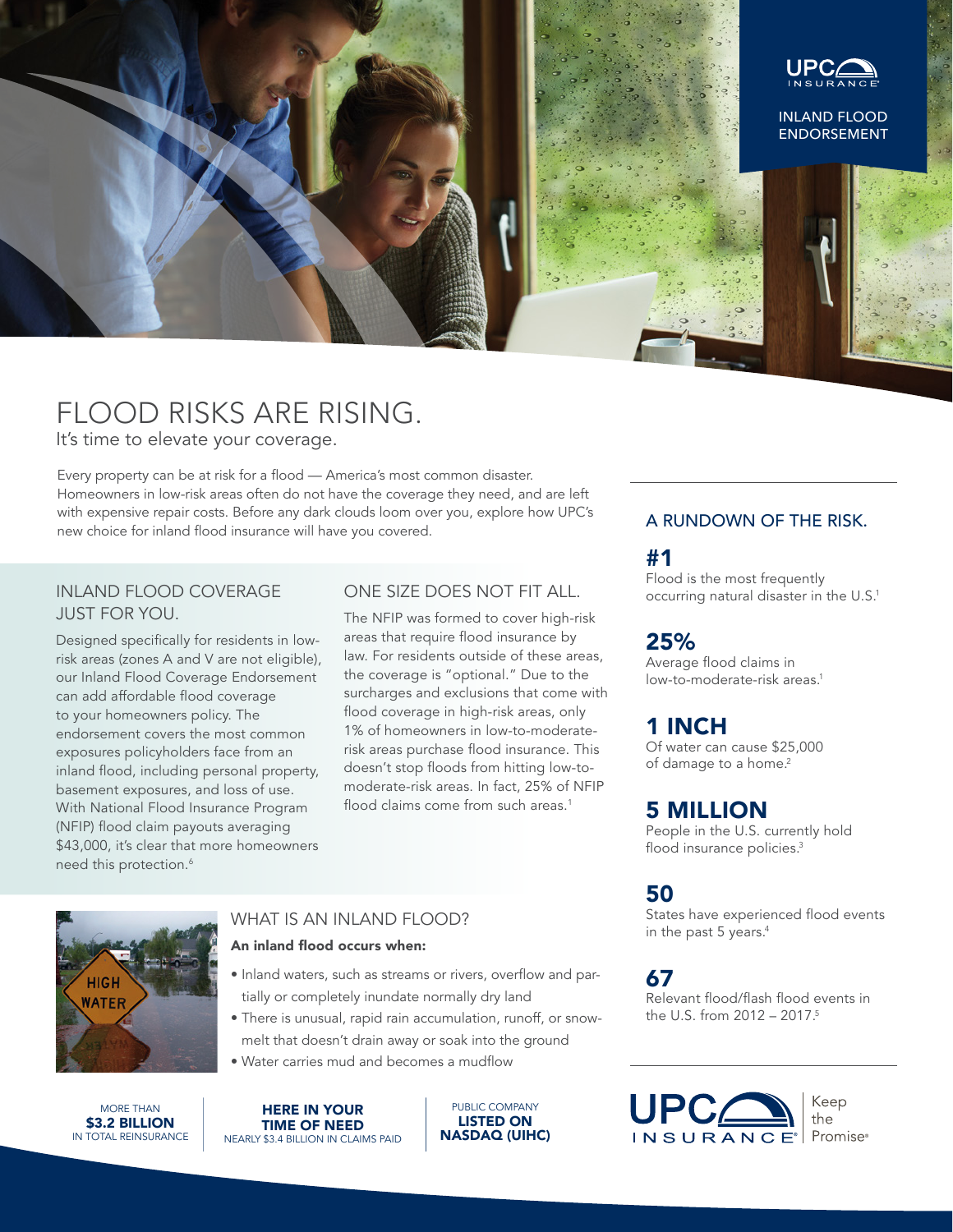

## FLOOD RISKS ARE RISING.

It's time to elevate your coverage.

Every property can be at risk for a flood — America's most common disaster. Homeowners in low-risk areas often do not have the coverage they need, and are left with expensive repair costs. Before any dark clouds loom over you, explore how UPC's new choice for inland flood insurance will have you covered.

#### INLAND FLOOD COVERAGE JUST FOR YOU.

Designed specifically for residents in lowrisk areas (zones A and V are not eligible), our Inland Flood Coverage Endorsement can add affordable flood coverage to your homeowners policy. The endorsement covers the most common exposures policyholders face from an inland flood, including personal property, basement exposures, and loss of use. With National Flood Insurance Program (NFIP) flood claim payouts averaging \$43,000, it's clear that more homeowners need this protection.<sup>6</sup>

#### ONE SIZE DOES NOT FIT ALL.

The NFIP was formed to cover high-risk areas that require flood insurance by law. For residents outside of these areas, the coverage is "optional." Due to the surcharges and exclusions that come with flood coverage in high-risk areas, only 1% of homeowners in low-to-moderaterisk areas purchase flood insurance. This doesn't stop floods from hitting low-tomoderate-risk areas. In fact, 25% of NFIP flood claims come from such areas.<sup>1</sup>

# **HIGH WATER**

## WHAT IS AN INI AND FLOOD?

#### An inland flood occurs when:

- Inland waters, such as streams or rivers, overflow and partially or completely inundate normally dry land
- There is unusual, rapid rain accumulation, runoff, or snowmelt that doesn't drain away or soak into the ground
- Water carries mud and becomes a mudflow

MORE THAN \$3.2 BILLION IN TOTAL REINSURANCE HERE IN YOUR TIME OF NEED NEARLY \$3.4 BILLION IN CLAIMS PAID

PUBLIC COMPANY LISTED ON NASDAQ (UIHC)

#### A RUNDOWN OF THE RISK.

#1

Flood is the most frequently occurring natural disaster in the U.S.<sup>1</sup>

## 25%

Average flood claims in low-to-moderate-risk areas.<sup>1</sup>

## 1 INCH

Of water can cause \$25,000 of damage to a home.<sup>2</sup>

## 5 MILLION

People in the U.S. currently hold flood insurance policies.<sup>3</sup>

## 50

States have experienced flood events in the past 5 years.<sup>4</sup>

## 67

Relevant flood/flash flood events in the U.S. from  $2012 - 2017$ .<sup>5</sup>